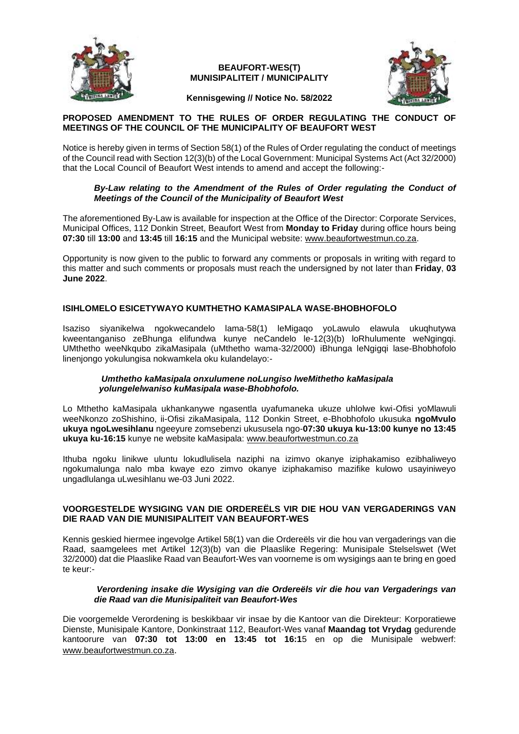

# **BEAUFORT-WES(T) MUNISIPALITEIT / MUNICIPALITY**



### **Kennisgewing // Notice No. 58/2022**

# **PROPOSED AMENDMENT TO THE RULES OF ORDER REGULATING THE CONDUCT OF MEETINGS OF THE COUNCIL OF THE MUNICIPALITY OF BEAUFORT WEST**

Notice is hereby given in terms of Section 58(1) of the Rules of Order regulating the conduct of meetings of the Council read with Section 12(3)(b) of the Local Government: Municipal Systems Act (Act 32/2000) that the Local Council of Beaufort West intends to amend and accept the following:-

### *By-Law relating to the Amendment of the Rules of Order regulating the Conduct of Meetings of the Council of the Municipality of Beaufort West*

The aforementioned By-Law is available for inspection at the Office of the Director: Corporate Services, Municipal Offices, 112 Donkin Street, Beaufort West from **Monday to Friday** during office hours being **07:30** till **13:00** and **13:45** till **16:15** and the Municipal website: [www.beaufortwestmun.co.za.](http://www.beaufortwestmun.co.za/)

Opportunity is now given to the public to forward any comments or proposals in writing with regard to this matter and such comments or proposals must reach the undersigned by not later than **Friday**, **03 June 2022**.

# **ISIHLOMELO ESICETYWAYO KUMTHETHO KAMASIPALA WASE-BHOBHOFOLO**

Isaziso siyanikelwa ngokwecandelo lama-58(1) leMigaqo yoLawulo elawula ukuqhutywa kweentanganiso zeBhunga elifundwa kunye neCandelo le-12(3)(b) loRhulumente weNgingqi. UMthetho weeNkqubo zikaMasipala (uMthetho wama-32/2000) iBhunga leNgigqi lase-Bhobhofolo linenjongo yokulungisa nokwamkela oku kulandelayo:-

### *Umthetho kaMasipala onxulumene noLungiso lweMithetho kaMasipala yolungelelwaniso kuMasipala wase-Bhobhofolo.*

Lo Mthetho kaMasipala ukhankanywe ngasentla uyafumaneka ukuze uhlolwe kwi-Ofisi yoMlawuli weeNkonzo zoShishino, ii-Ofisi zikaMasipala, 112 Donkin Street, e-Bhobhofolo ukusuka **ngoMvulo ukuya ngoLwesihlanu** ngeeyure zomsebenzi ukususela ngo-**07:30 ukuya ku-13:00 kunye no 13:45 ukuya ku-16:15** kunye ne website kaMasipala: [www.beaufortwestmun.co.za](http://www.beaufortwestmun.co.za/)

Ithuba ngoku linikwe uluntu lokudlulisela naziphi na izimvo okanye iziphakamiso ezibhaliweyo ngokumalunga nalo mba kwaye ezo zimvo okanye iziphakamiso mazifike kulowo usayiniweyo ungadlulanga uLwesihlanu we-03 Juni 2022.

### **VOORGESTELDE WYSIGING VAN DIE ORDEREËLS VIR DIE HOU VAN VERGADERINGS VAN DIE RAAD VAN DIE MUNISIPALITEIT VAN BEAUFORT-WES**

Kennis geskied hiermee ingevolge Artikel 58(1) van die Ordereëls vir die hou van vergaderings van die Raad, saamgelees met Artikel 12(3)(b) van die Plaaslike Regering: Munisipale Stelselswet (Wet 32/2000) dat die Plaaslike Raad van Beaufort-Wes van voorneme is om wysigings aan te bring en goed te keur:-

### *Verordening insake die Wysiging van die Ordereëls vir die hou van Vergaderings van die Raad van die Munisipaliteit van Beaufort-Wes*

Die voorgemelde Verordening is beskikbaar vir insae by die Kantoor van die Direkteur: Korporatiewe Dienste, Munisipale Kantore, Donkinstraat 112, Beaufort-Wes vanaf **Maandag tot Vrydag** gedurende kantoorure van **07:30 tot 13:00 en 13:45 tot 16:1**5 en op die Munisipale webwerf: [www.beaufortwestmun.co.za](http://www.beaufortwestmun.co.za/).